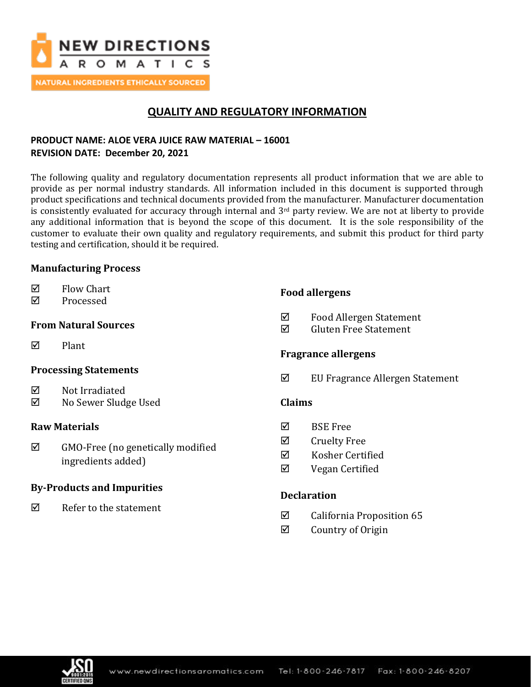

**NATURAL INGREDIENTS ETHICALLY SOURCED** 

# **QUALITY AND REGULATORY INFORMATION**

## **PRODUCT NAME: ALOE VERA JUICE RAW MATERIAL – 16001 REVISION DATE: December 20, 2021**

The following quality and regulatory documentation represents all product information that we are able to provide as per normal industry standards. All information included in this document is supported through product specifications and technical documents provided from the manufacturer. Manufacturer documentation is consistently evaluated for accuracy through internal and 3rd party review. We are not at liberty to provide any additional information that is beyond the scope of this document. It is the sole responsibility of the customer to evaluate their own quality and regulatory requirements, and submit this product for third party testing and certification, should it be required.

## **Manufacturing Process**

- $\nabla$  Flow Chart
- **☑** Processed

## **From Natural Sources**

 $\nabla$  Plant

## **Processing Statements**

- $\boxtimes$  Not Irradiated
- No Sewer Sludge Used

## **Raw Materials**

 $\boxtimes$  GMO-Free (no genetically modified ingredients added)

## **By-Products and Impurities**

 $\nabla$  Refer to the statement

## **Food allergens**

- Food Allergen Statement
- Gluten Free Statement

## **Fragrance allergens**

 $\boxtimes$  EU Fragrance Allergen Statement

## **Claims**

- $\boxtimes$  BSE Free
- **Ø** Cruelty Free
- $\nabla$  Kosher Certified
- Vegan Certified

## **Declaration**

- $\boxtimes$  California Proposition 65
- $\boxtimes$  Country of Origin

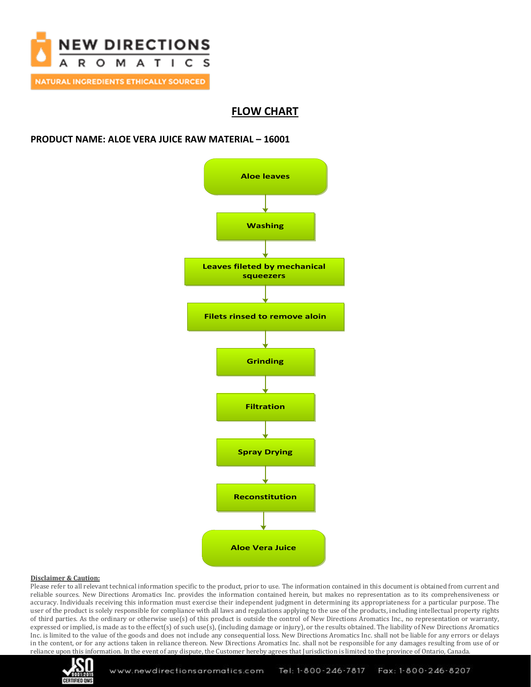

# **FLOW CHART**

### **PRODUCT NAME: ALOE VERA JUICE RAW MATERIAL – 16001**



### **Disclaimer & Caution:**

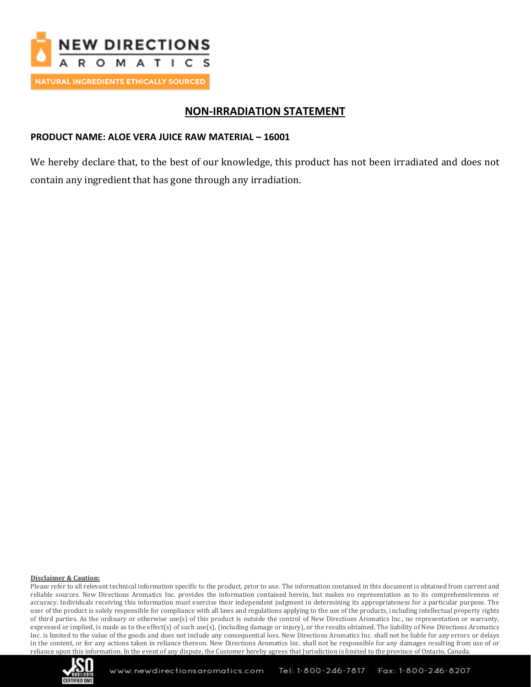

# **NON-IRRADIATION STATEMENT**

## **PRODUCT NAME: ALOE VERA JUICE RAW MATERIAL – 16001**

We hereby declare that, to the best of our knowledge, this product has not been irradiated and does not contain any ingredient that has gone through any irradiation.

#### **Disclaimer & Caution:**

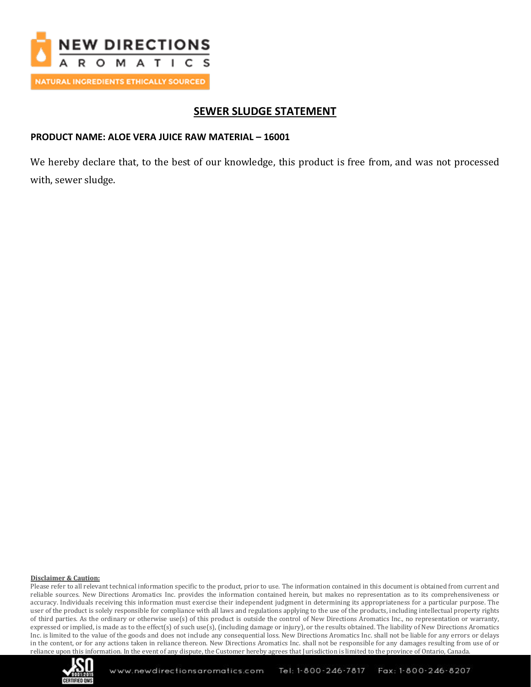

# **SEWER SLUDGE STATEMENT**

## **PRODUCT NAME: ALOE VERA JUICE RAW MATERIAL – 16001**

We hereby declare that, to the best of our knowledge, this product is free from, and was not processed with, sewer sludge.

#### **Disclaimer & Caution:**

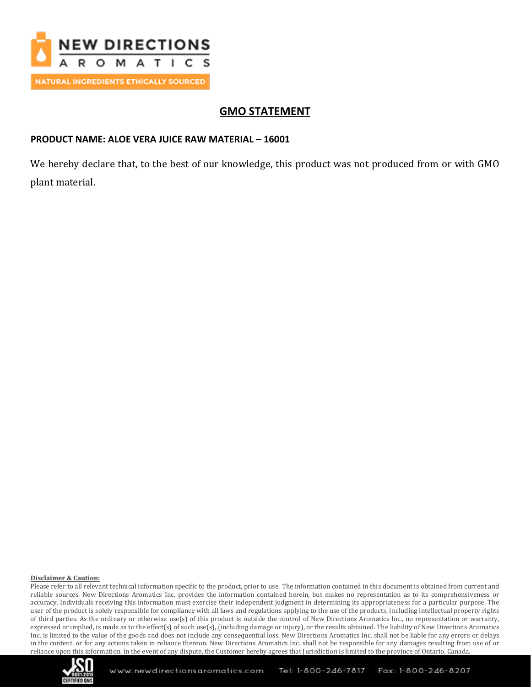

# **GMO STATEMENT**

## **PRODUCT NAME: ALOE VERA JUICE RAW MATERIAL – 16001**

We hereby declare that, to the best of our knowledge, this product was not produced from or with GMO plant material.

### **Disclaimer & Caution:**

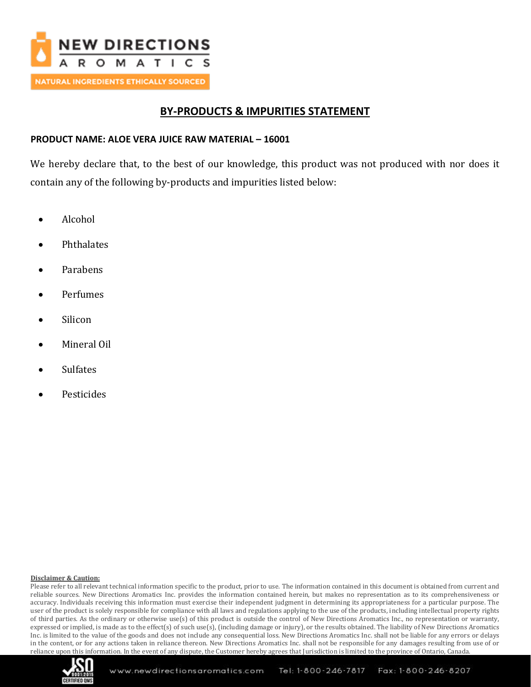

# **BY-PRODUCTS & IMPURITIES STATEMENT**

## **PRODUCT NAME: ALOE VERA JUICE RAW MATERIAL – 16001**

We hereby declare that, to the best of our knowledge, this product was not produced with nor does it contain any of the following by-products and impurities listed below:

- Alcohol
- **Phthalates**
- Parabens
- Perfumes
- Silicon
- Mineral Oil
- **Sulfates**
- **Pesticides**

### **Disclaimer & Caution:**

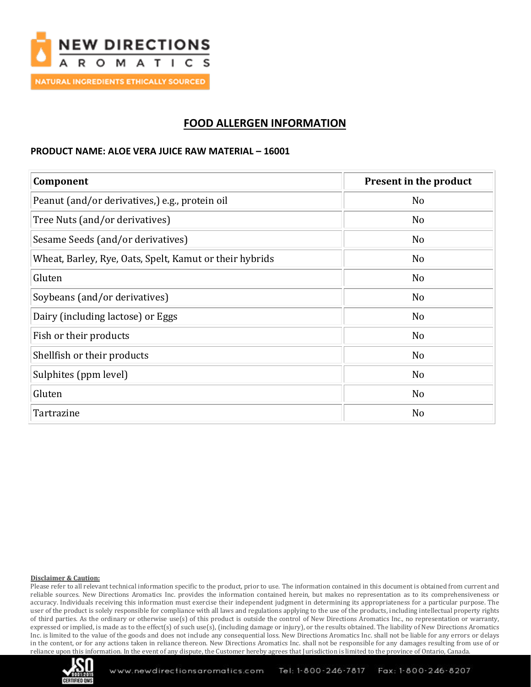

# **FOOD ALLERGEN INFORMATION**

### **PRODUCT NAME: ALOE VERA JUICE RAW MATERIAL – 16001**

| Component                                               | Present in the product |
|---------------------------------------------------------|------------------------|
| Peanut (and/or derivatives,) e.g., protein oil          | N <sub>o</sub>         |
| Tree Nuts (and/or derivatives)                          | N <sub>0</sub>         |
| Sesame Seeds (and/or derivatives)                       | N <sub>o</sub>         |
| Wheat, Barley, Rye, Oats, Spelt, Kamut or their hybrids | N <sub>0</sub>         |
| Gluten                                                  | N <sub>0</sub>         |
| Soybeans (and/or derivatives)                           | N <sub>o</sub>         |
| Dairy (including lactose) or Eggs                       | N <sub>o</sub>         |
| Fish or their products                                  | N <sub>o</sub>         |
| Shellfish or their products                             | N <sub>o</sub>         |
| Sulphites (ppm level)                                   | N <sub>0</sub>         |
| Gluten                                                  | N <sub>o</sub>         |
| Tartrazine                                              | N <sub>0</sub>         |

### **Disclaimer & Caution:**

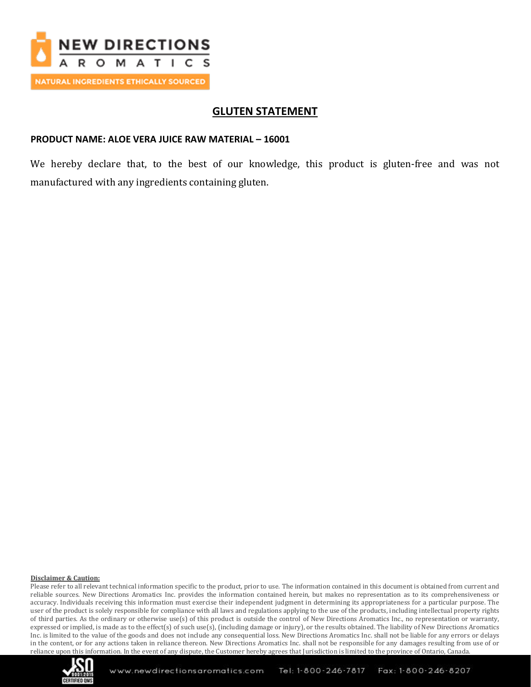

# **GLUTEN STATEMENT**

### **PRODUCT NAME: ALOE VERA JUICE RAW MATERIAL – 16001**

We hereby declare that, to the best of our knowledge, this product is gluten-free and was not manufactured with any ingredients containing gluten.

#### **Disclaimer & Caution:**

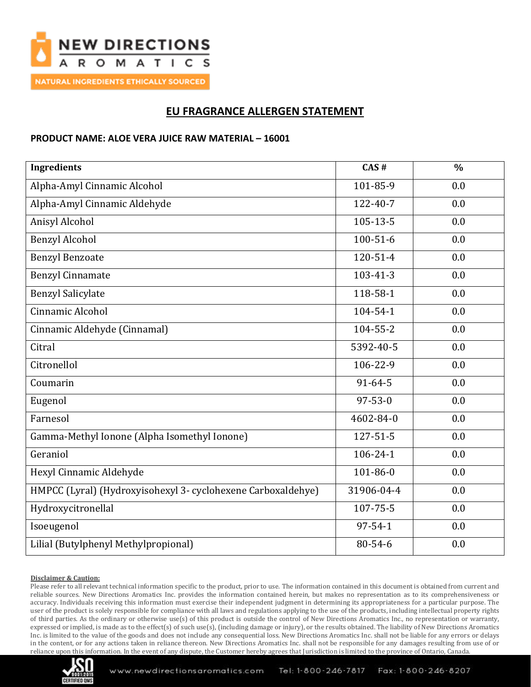

# **EU FRAGRANCE ALLERGEN STATEMENT**

### **PRODUCT NAME: ALOE VERA JUICE RAW MATERIAL – 16001**

| <b>Ingredients</b>                                           | CAS#           | $\frac{0}{0}$ |
|--------------------------------------------------------------|----------------|---------------|
| Alpha-Amyl Cinnamic Alcohol                                  | 101-85-9       | 0.0           |
| Alpha-Amyl Cinnamic Aldehyde                                 | 122-40-7       | 0.0           |
| Anisyl Alcohol                                               | $105 - 13 - 5$ | 0.0           |
| <b>Benzyl Alcohol</b>                                        | $100 - 51 - 6$ | 0.0           |
| <b>Benzyl Benzoate</b>                                       | 120-51-4       | 0.0           |
| <b>Benzyl Cinnamate</b>                                      | $103 - 41 - 3$ | 0.0           |
| <b>Benzyl Salicylate</b>                                     | 118-58-1       | 0.0           |
| Cinnamic Alcohol                                             | 104-54-1       | 0.0           |
| Cinnamic Aldehyde (Cinnamal)                                 | 104-55-2       | 0.0           |
| Citral                                                       | 5392-40-5      | 0.0           |
| Citronellol                                                  | 106-22-9       | 0.0           |
| Coumarin                                                     | $91 - 64 - 5$  | 0.0           |
| Eugenol                                                      | $97 - 53 - 0$  | 0.0           |
| Farnesol                                                     | 4602-84-0      | 0.0           |
| Gamma-Methyl Ionone (Alpha Isomethyl Ionone)                 | $127 - 51 - 5$ | 0.0           |
| Geraniol                                                     | $106 - 24 - 1$ | 0.0           |
| Hexyl Cinnamic Aldehyde                                      | 101-86-0       | 0.0           |
| HMPCC (Lyral) (Hydroxyisohexyl 3- cyclohexene Carboxaldehye) | 31906-04-4     | 0.0           |
| Hydroxycitronellal                                           | 107-75-5       | 0.0           |
| Isoeugenol                                                   | $97 - 54 - 1$  | 0.0           |
| Lilial (Butylphenyl Methylpropional)                         | 80-54-6        | 0.0           |

### **Disclaimer & Caution:**

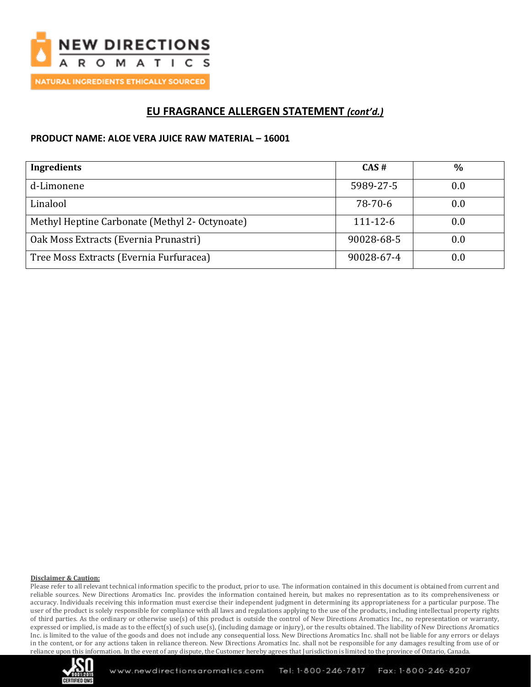

# **EU FRAGRANCE ALLERGEN STATEMENT** *(cont'd.)*

### **PRODUCT NAME: ALOE VERA JUICE RAW MATERIAL – 16001**

| <b>Ingredients</b>                             | CAS#           | $\frac{0}{0}$ |
|------------------------------------------------|----------------|---------------|
| d-Limonene                                     | 5989-27-5      | 0.0           |
| Linalool                                       | 78-70-6        | 0.0           |
| Methyl Heptine Carbonate (Methyl 2- Octynoate) | $111 - 12 - 6$ | 0.0           |
| Oak Moss Extracts (Evernia Prunastri)          | 90028-68-5     | $0.0\,$       |
| Tree Moss Extracts (Evernia Furfuracea)        | 90028-67-4     | $0.0\,$       |

### **Disclaimer & Caution:**

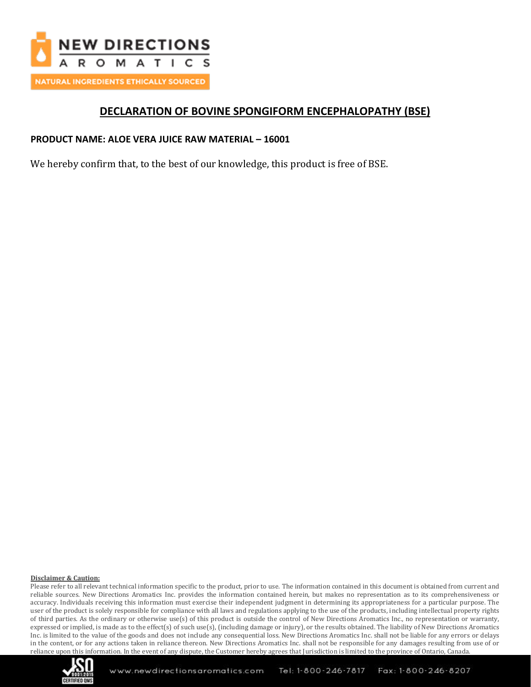

# **DECLARATION OF BOVINE SPONGIFORM ENCEPHALOPATHY (BSE)**

## **PRODUCT NAME: ALOE VERA JUICE RAW MATERIAL – 16001**

We hereby confirm that, to the best of our knowledge, this product is free of BSE.

### **Disclaimer & Caution:**

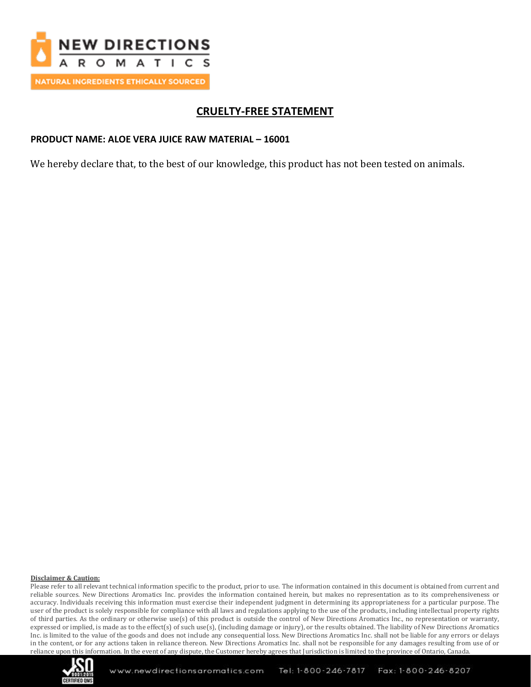

# **CRUELTY-FREE STATEMENT**

## **PRODUCT NAME: ALOE VERA JUICE RAW MATERIAL – 16001**

We hereby declare that, to the best of our knowledge, this product has not been tested on animals.

#### **Disclaimer & Caution:**

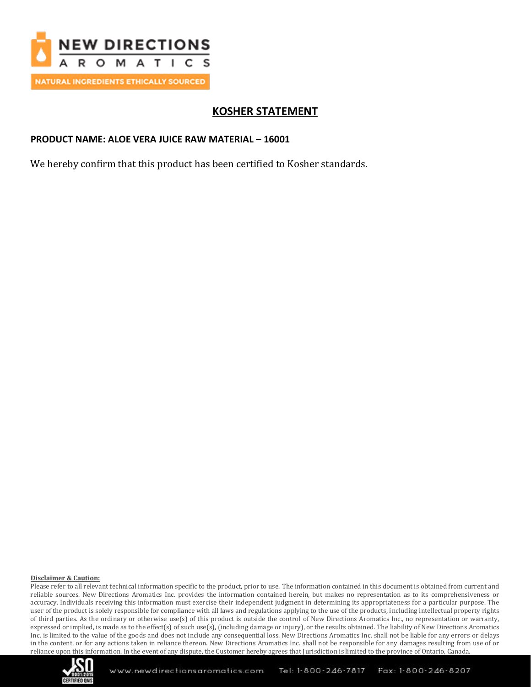

# **KOSHER STATEMENT**

## **PRODUCT NAME: ALOE VERA JUICE RAW MATERIAL – 16001**

We hereby confirm that this product has been certified to Kosher standards.

#### **Disclaimer & Caution:**

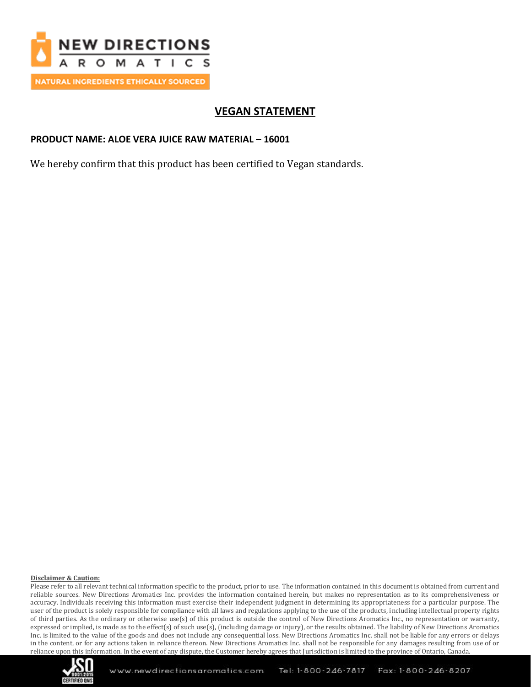

# **VEGAN STATEMENT**

## **PRODUCT NAME: ALOE VERA JUICE RAW MATERIAL – 16001**

We hereby confirm that this product has been certified to Vegan standards.

### **Disclaimer & Caution:**

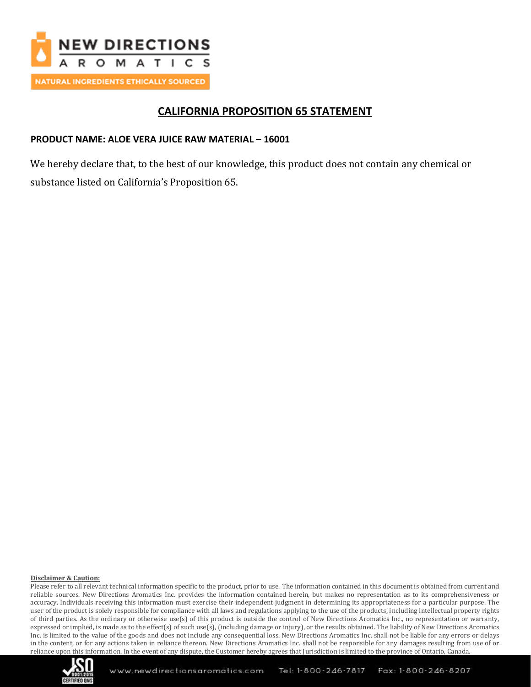

# **CALIFORNIA PROPOSITION 65 STATEMENT**

## **PRODUCT NAME: ALOE VERA JUICE RAW MATERIAL – 16001**

We hereby declare that, to the best of our knowledge, this product does not contain any chemical or substance listed on California's Proposition 65.

### **Disclaimer & Caution:**